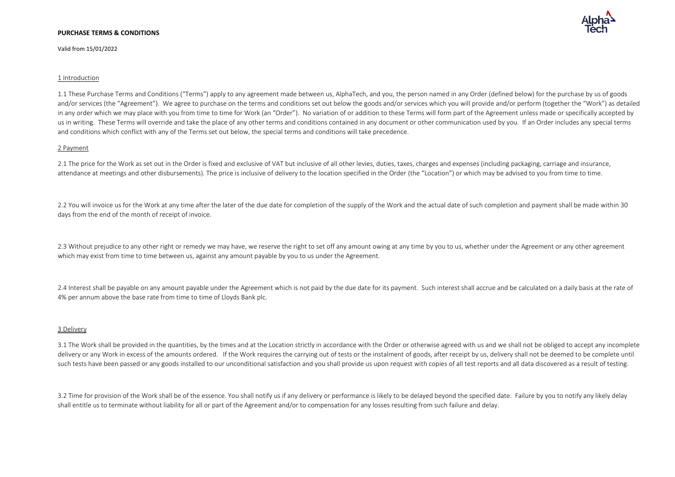Valid from 15/01/2022



1.1 These Purchase Terms and Conditions ("Terms") apply to any agreement made between us, AlphaTech, and you, the person named in any Order (defined below) for the purchase by us of goods and/or services (the "Agreement"). We agree to purchase on the terms and conditions set out below the goods and/or services which you will provide and/or perform (together the "Work") as detailed in any order which we may place with you from time to time for Work (an "Order"). No variation of or addition to these Terms will form part of the Agreement unless made or specifically accepted by us in writing. These Terms will override and take the place of any other terms and conditions contained in any document or other communication used by you. If an Order includes any special terms and conditions which conflict with any of the Terms set out below, the special terms and conditions will take precedence.

# 2 Payment

2.1 The price for the Work as set out in the Order is fixed and exclusive of VAT but inclusive of all other levies, duties, taxes, charges and expenses (including packaging, carriage and insurance, attendance at meetings and other disbursements). The price is inclusive of delivery to the location specified in the Order (the "Location") or which may be advised to you from time to time.

2.2 You will invoice us for the Work at any time after the later of the due date for completion of the supply of the Work and the actual date of such completion and payment shall be made within 30 days from the end of the month of receipt of invoice.

2.3 Without prejudice to any other right or remedy we may have, we reserve the right to set off any amount owing at any time by you to us, whether under the Agreement or any other agreement which may exist from time to time between us, against any amount payable by you to us under the Agreement.

2.4 Interest shall be payable on any amount payable under the Agreement which is not paid by the due date for its payment. Such interest shall accrue and be calculated on a daily basis at the rate of 4% per annum above the base rate from time to time of Lloyds Bank plc.

### 3 Delivery

3.1 The Work shall be provided in the quantities, by the times and at the Location strictly in accordance with the Order or otherwise agreed with us and we shall not be obliged to accept any incomplete delivery or any Work in excess of the amounts ordered. If the Work requires the carrying out of tests or the instalment of goods, after receipt by us, delivery shall not be deemed to be complete until such tests have been passed or any goods installed to our unconditional satisfaction and you shall provide us upon request with copies of all test reports and all data discovered as a result of testing.

3.2 Time for provision of the Work shall be of the essence. You shall notify us if any delivery or performance is likely to be delayed beyond the specified date. Failure by you to notify any likely delay shall entitle us to terminate without liability for all or part of the Agreement and/or to compensation for any losses resulting from such failure and delay.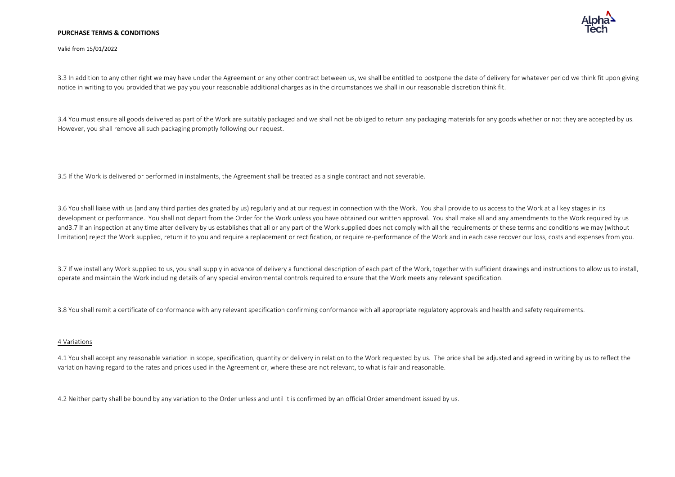

Valid from 15/01/2022

3.3 In addition to any other right we may have under the Agreement or any other contract between us, we shall be entitled to postpone the date of delivery for whatever period we think fit upon giving notice in writing to you provided that we pay you your reasonable additional charges as in the circumstances we shall in our reasonable discretion think fit.

3.4 You must ensure all goods delivered as part of the Work are suitably packaged and we shall not be obliged to return any packaging materials for any goods whether or not they are accepted by us. However, you shall remove all such packaging promptly following our request.

3.5 If the Work is delivered or performed in instalments, the Agreement shall be treated as a single contract and not severable.

3.6 You shall liaise with us (and any third parties designated by us) regularly and at our request in connection with the Work. You shall provide to us access to the Work at all key stages in its development or performance. You shall not depart from the Order for the Work unless you have obtained our written approval. You shall make all and any amendments to the Work required by us and3.7 If an inspection at any time after delivery by us establishes that all or any part of the Work supplied does not comply with all the requirements of these terms and conditions we may (without limitation) reject the Work supplied, return it to you and require a replacement or rectification, or require re-performance of the Work and in each case recover our loss, costs and expenses from you.

3.7 If we install any Work supplied to us, you shall supply in advance of delivery a functional description of each part of the Work, together with sufficient drawings and instructions to allow us to install, operate and maintain the Work including details of any special environmental controls required to ensure that the Work meets any relevant specification.

3.8 You shall remit a certificate of conformance with any relevant specification confirming conformance with all appropriate regulatory approvals and health and safety requirements.

# 4 Variations

4.1 You shall accept any reasonable variation in scope, specification, quantity or delivery in relation to the Work requested by us. The price shall be adjusted and agreed in writing by us to reflect the variation having regard to the rates and prices used in the Agreement or, where these are not relevant, to what is fair and reasonable.

4.2 Neither party shall be bound by any variation to the Order unless and until it is confirmed by an official Order amendment issued by us.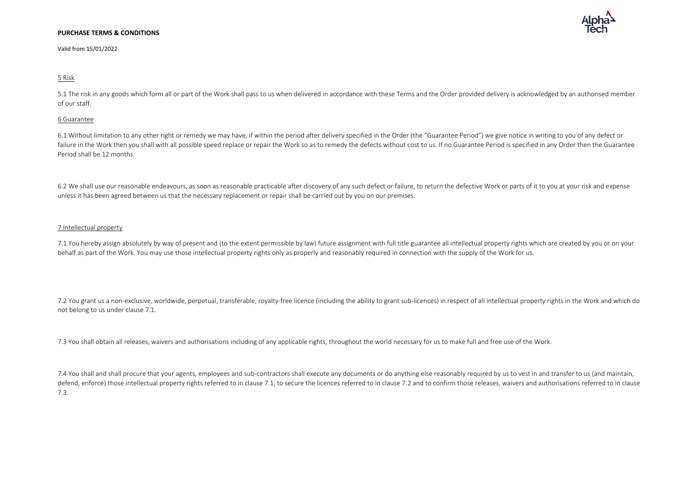Valid from 15/01/2022

# 5 Risk

5.1 The risk in any goods which form all or part of the Work shall pass to us when delivered in accordance with these Terms and the Order provided delivery is acknowledged by an authorised member of our staff.

## 6 Guarantee

6.1 Without limitation to any other right or remedy we may have, if within the period after delivery specified in the Order (the "Guarantee Period") we give notice in writing to you of any defect or failure in the Work then you shall with all possible speed replace or repair the Work so as to remedy the defects without cost to us. If no Guarantee Period is specified in any Order then the Guarantee Period shall be 12 months.

6.2 We shall use our reasonable endeavours, as soon as reasonable practicable after discovery of any such defect or failure, to return the defective Work or parts of it to you at your risk and expense unless it has been agreed between us that the necessary replacement or repair shall be carried out by you on our premises.

## 7 Intellectual property

7.1 You hereby assign absolutely by way of present and (to the extent permissible by law) future assignment with full title guarantee all intellectual property rights which are created by you or on your behalf as part of the Work. You may use those intellectual property rights only as properly and reasonably required in connection with the supply of the Work for us.

7.2 You grant us a non-exclusive, worldwide, perpetual, transferable, royalty-free licence (including the ability to grant sub-licences) in respect of all intellectual property rights in the Work and which do not belong to us under clause 7.1.

7.3 You shall obtain all releases, waivers and authorisations including of any applicable rights, throughout the world necessary for us to make full and free use of the Work.

7.4 You shall and shall procure that your agents, employees and sub-contractors shall execute any documents or do anything else reasonably required by us to vest in and transfer to us (and maintain, defend, enforce) those intellectual property rights referred to in clause 7.1, to secure the licences referred to in clause 7.2 and to confirm those releases, waivers and authorisations referred to in clause 7.3.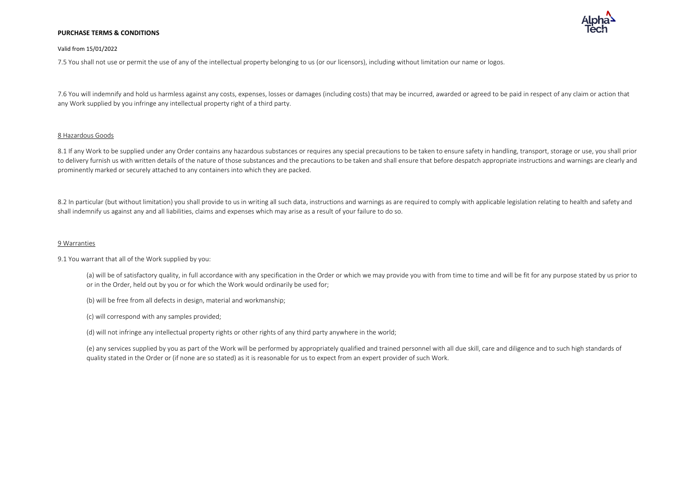

## Valid from 15/01/2022

7.5 You shall not use or permit the use of any of the intellectual property belonging to us (or our licensors), including without limitation our name or logos.

7.6 You will indemnify and hold us harmless against any costs, expenses, losses or damages (including costs) that may be incurred, awarded or agreed to be paid in respect of any claim or action that any Work supplied by you infringe any intellectual property right of a third party.

# 8 Hazardous Goods

8.1 If any Work to be supplied under any Order contains any hazardous substances or requires any special precautions to be taken to ensure safety in handling, transport, storage or use, you shall prior to delivery furnish us with written details of the nature of those substances and the precautions to be taken and shall ensure that before despatch appropriate instructions and warnings are clearly and prominently marked or securely attached to any containers into which they are packed.

8.2 In particular (but without limitation) you shall provide to us in writing all such data, instructions and warnings as are required to comply with applicable legislation relating to health and safety and shall indemnify us against any and all liabilities, claims and expenses which may arise as a result of your failure to do so.

# 9 Warranties

# 9.1 You warrant that all of the Work supplied by you:

(a) will be of satisfactory quality, in full accordance with any specification in the Order or which we may provide you with from time to time and will be fit for any purpose stated by us prior to or in the Order, held out by you or for which the Work would ordinarily be used for;

(b) will be free from all defects in design, material and workmanship;

(c) will correspond with any samples provided;

(d) will not infringe any intellectual property rights or other rights of any third party anywhere in the world;

(e) any services supplied by you as part of the Work will be performed by appropriately qualified and trained personnel with all due skill, care and diligence and to such high standards of quality stated in the Order or (if none are so stated) as it is reasonable for us to expect from an expert provider of such Work.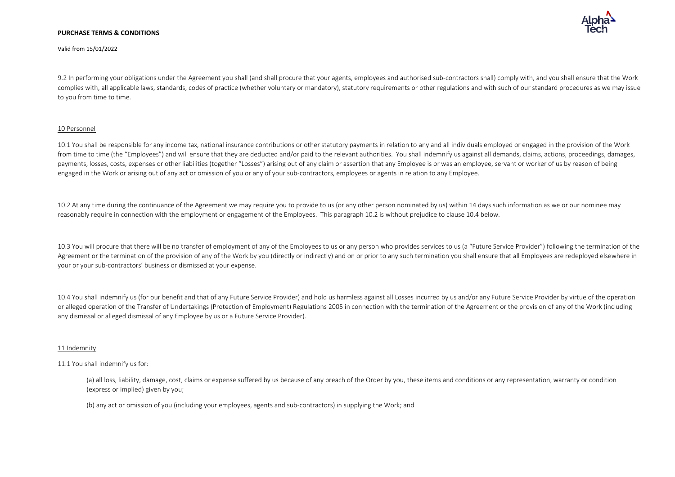

Valid from 15/01/2022

9.2 In performing your obligations under the Agreement you shall (and shall procure that your agents, employees and authorised sub-contractors shall) comply with, and you shall ensure that the Work complies with, all applicable laws, standards, codes of practice (whether voluntary or mandatory), statutory requirements or other regulations and with such of our standard procedures as we may issue to you from time to time.

# 10 Personnel

10.1 You shall be responsible for any income tax, national insurance contributions or other statutory payments in relation to any and all individuals employed or engaged in the provision of the Work from time to time (the "Employees") and will ensure that they are deducted and/or paid to the relevant authorities. You shall indemnify us against all demands, claims, actions, proceedings, damages, payments, losses, costs, expenses or other liabilities (together "Losses") arising out of any claim or assertion that any Employee is or was an employee, servant or worker of us by reason of being engaged in the Work or arising out of any act or omission of you or any of your sub-contractors, employees or agents in relation to any Employee.

10.2 At any time during the continuance of the Agreement we may require you to provide to us (or any other person nominated by us) within 14 days such information as we or our nominee may reasonably require in connection with the employment or engagement of the Employees. This paragraph 10.2 is without prejudice to clause 10.4 below.

10.3 You will procure that there will be no transfer of employment of any of the Employees to us or any person who provides services to us (a "Future Service Provider") following the termination of the Agreement or the termination of the provision of any of the Work by you (directly or indirectly) and on or prior to any such termination you shall ensure that all Employees are redeployed elsewhere in your or your sub-contractors' business or dismissed at your expense.

10.4 You shall indemnify us (for our benefit and that of any Future Service Provider) and hold us harmless against all Losses incurred by us and/or any Future Service Provider by virtue of the operation or alleged operation of the Transfer of Undertakings (Protection of Employment) Regulations 2005 in connection with the termination of the Agreement or the provision of any of the Work (including any dismissal or alleged dismissal of any Employee by us or a Future Service Provider).

# 11 Indemnity

# 11.1 You shall indemnify us for:

(a) all loss, liability, damage, cost, claims or expense suffered by us because of any breach of the Order by you, these items and conditions or any representation, warranty or condition (express or implied) given by you;

(b) any act or omission of you (including your employees, agents and sub-contractors) in supplying the Work; and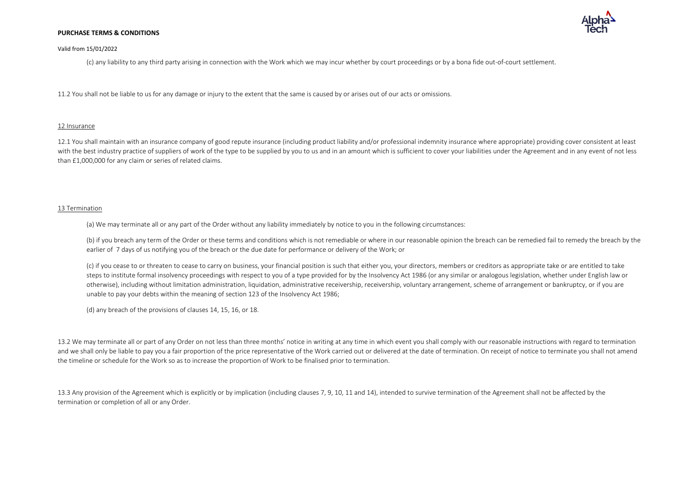

## Valid from 15/01/2022

(c) any liability to any third party arising in connection with the Work which we may incur whether by court proceedings or by a bona fide out-of-court settlement.

11.2 You shall not be liable to us for any damage or injury to the extent that the same is caused by or arises out of our acts or omissions.

### 12 Insurance

12.1 You shall maintain with an insurance company of good repute insurance (including product liability and/or professional indemnity insurance where appropriate) providing cover consistent at least with the best industry practice of suppliers of work of the type to be supplied by you to us and in an amount which is sufficient to cover your liabilities under the Agreement and in any event of not less than £1,000,000 for any claim or series of related claims.

## 13 Termination

(a) We may terminate all or any part of the Order without any liability immediately by notice to you in the following circumstances:

(b) if you breach any term of the Order or these terms and conditions which is not remediable or where in our reasonable opinion the breach can be remedied fail to remedy the breach by the earlier of 7 days of us notifying you of the breach or the due date for performance or delivery of the Work; or

(c) if you cease to or threaten to cease to carry on business, your financial position is such that either you, your directors, members or creditors as appropriate take or are entitled to take steps to institute formal insolvency proceedings with respect to you of a type provided for by the Insolvency Act 1986 (or any similar or analogous legislation, whether under English law or otherwise), including without limitation administration, liquidation, administrative receivership, receivership, voluntary arrangement, scheme of arrangement or bankruptcy, or if you are unable to pay your debts within the meaning of section 123 of the Insolvency Act 1986;

(d) any breach of the provisions of clauses 14, 15, 16, or 18.

13.2 We may terminate all or part of any Order on not less than three months' notice in writing at any time in which event you shall comply with our reasonable instructions with regard to termination and we shall only be liable to pay you a fair proportion of the price representative of the Work carried out or delivered at the date of termination. On receipt of notice to terminate you shall not amend the timeline or schedule for the Work so as to increase the proportion of Work to be finalised prior to termination.

13.3 Any provision of the Agreement which is explicitly or by implication (including clauses 7, 9, 10, 11 and 14), intended to survive termination of the Agreement shall not be affected by the termination or completion of all or any Order.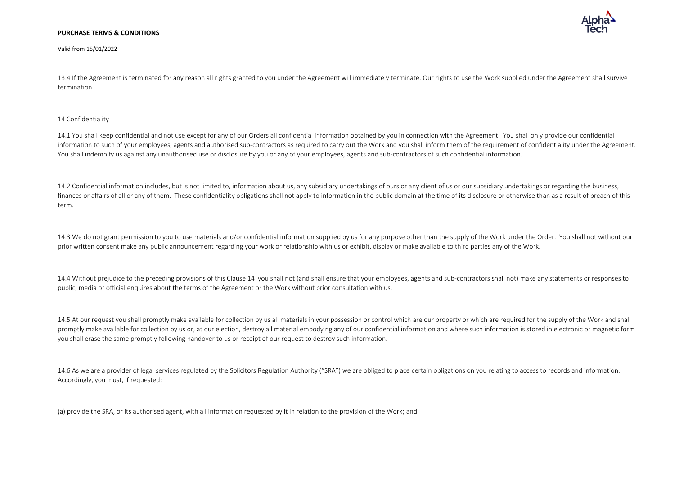Valid from 15/01/2022

13.4 If the Agreement is terminated for any reason all rights granted to you under the Agreement will immediately terminate. Our rights to use the Work supplied under the Agreement shall survive termination.

### 14 Confidentiality

14.1 You shall keep confidential and not use except for any of our Orders all confidential information obtained by you in connection with the Agreement. You shall only provide our confidential information to such of your employees, agents and authorised sub-contractors as required to carry out the Work and you shall inform them of the requirement of confidentiality under the Agreement. You shall indemnify us against any unauthorised use or disclosure by you or any of your employees, agents and sub-contractors of such confidential information.

14.2 Confidential information includes, but is not limited to, information about us, any subsidiary undertakings of ours or any client of us or our subsidiary undertakings or regarding the business, finances or affairs of all or any of them. These confidentiality obligations shall not apply to information in the public domain at the time of its disclosure or otherwise than as a result of breach of this term.

14.3 We do not grant permission to you to use materials and/or confidential information supplied by us for any purpose other than the supply of the Work under the Order. You shall not without our prior written consent make any public announcement regarding your work or relationship with us or exhibit, display or make available to third parties any of the Work.

14.4 Without prejudice to the preceding provisions of this Clause 14 you shall not (and shall ensure that your employees, agents and sub-contractors shall not) make any statements or responses to public, media or official enquires about the terms of the Agreement or the Work without prior consultation with us.

14.5 At our request you shall promptly make available for collection by us all materials in your possession or control which are our property or which are required for the supply of the Work and shall promptly make available for collection by us or, at our election, destroy all material embodying any of our confidential information and where such information is stored in electronic or magnetic form you shall erase the same promptly following handover to us or receipt of our request to destroy such information.

14.6 As we are a provider of legal services regulated by the Solicitors Regulation Authority ("SRA") we are obliged to place certain obligations on you relating to access to records and information. Accordingly, you must, if requested:

(a) provide the SRA, or its authorised agent, with all information requested by it in relation to the provision of the Work; and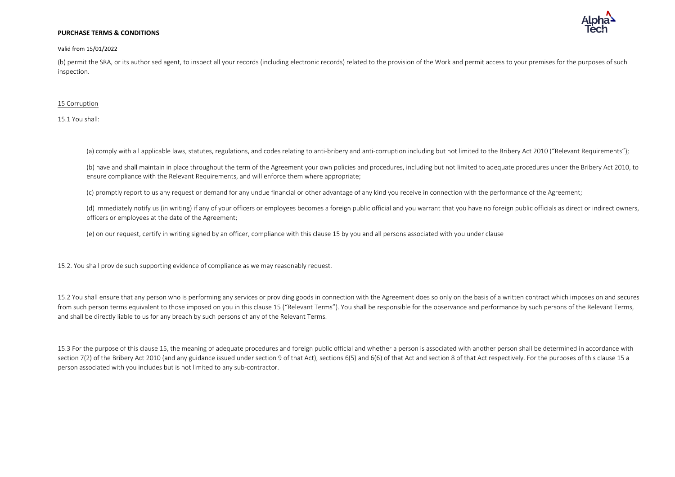### Valid from 15/01/2022

(b) permit the SRA, or its authorised agent, to inspect all your records (including electronic records) related to the provision of the Work and permit access to your premises for the purposes of such inspection.

### 15 Corruption

15.1 You shall:

(a) comply with all applicable laws, statutes, regulations, and codes relating to anti-bribery and anti-corruption including but not limited to the Bribery Act 2010 ("Relevant Requirements");

(b) have and shall maintain in place throughout the term of the Agreement your own policies and procedures, including but not limited to adequate procedures under the Bribery Act 2010, to ensure compliance with the Relevant Requirements, and will enforce them where appropriate;

(c) promptly report to us any request or demand for any undue financial or other advantage of any kind you receive in connection with the performance of the Agreement;

(d) immediately notify us (in writing) if any of your officers or employees becomes a foreign public official and you warrant that you have no foreign public officials as direct or indirect owners, officers or employees at the date of the Agreement;

(e) on our request, certify in writing signed by an officer, compliance with this clause 15 by you and all persons associated with you under clause

15.2. You shall provide such supporting evidence of compliance as we may reasonably request.

15.2 You shall ensure that any person who is performing any services or providing goods in connection with the Agreement does so only on the basis of a written contract which imposes on and secures from such person terms equivalent to those imposed on you in this clause 15 ("Relevant Terms"). You shall be responsible for the observance and performance by such persons of the Relevant Terms, and shall be directly liable to us for any breach by such persons of any of the Relevant Terms.

15.3 For the purpose of this clause 15, the meaning of adequate procedures and foreign public official and whether a person is associated with another person shall be determined in accordance with section 7(2) of the Bribery Act 2010 (and any guidance issued under section 9 of that Act), sections 6(5) and 6(6) of that Act and section 8 of that Act respectively. For the purposes of this clause 15 a person associated with you includes but is not limited to any sub-contractor.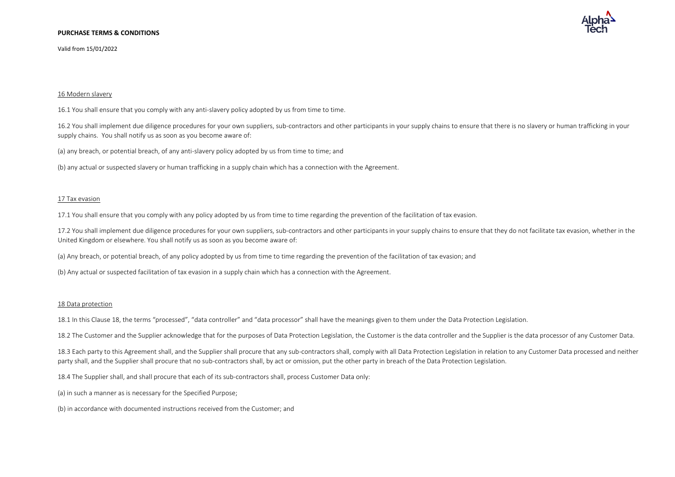Valid from 15/01/2022



# 16 Modern slavery

16.1 You shall ensure that you comply with any anti-slavery policy adopted by us from time to time.

16.2 You shall implement due diligence procedures for your own suppliers, sub-contractors and other participants in your supply chains to ensure that there is no slavery or human trafficking in your supply chains. You shall notify us as soon as you become aware of:

(a) any breach, or potential breach, of any anti-slavery policy adopted by us from time to time; and

(b) any actual or suspected slavery or human trafficking in a supply chain which has a connection with the Agreement.

### 17 Tax evasion

17.1 You shall ensure that you comply with any policy adopted by us from time to time regarding the prevention of the facilitation of tax evasion.

17.2 You shall implement due diligence procedures for your own suppliers, sub-contractors and other participants in your supply chains to ensure that they do not facilitate tax evasion, whether in the United Kingdom or elsewhere. You shall notify us as soon as you become aware of:

(a) Any breach, or potential breach, of any policy adopted by us from time to time regarding the prevention of the facilitation of tax evasion; and

(b) Any actual or suspected facilitation of tax evasion in a supply chain which has a connection with the Agreement.

### 18 Data protection

18.1 In this Clause 18, the terms "processed", "data controller" and "data processor" shall have the meanings given to them under the Data Protection Legislation.

18.2 The Customer and the Supplier acknowledge that for the purposes of Data Protection Legislation, the Customer is the data controller and the Supplier is the data processor of any Customer Data.

18.3 Each party to this Agreement shall, and the Supplier shall procure that any sub-contractors shall, comply with all Data Protection Legislation in relation to any Customer Data processed and neither party shall, and the Supplier shall procure that no sub-contractors shall, by act or omission, put the other party in breach of the Data Protection Legislation.

18.4 The Supplier shall, and shall procure that each of its sub-contractors shall, process Customer Data only:

(a) in such a manner as is necessary for the Specified Purpose;

(b) in accordance with documented instructions received from the Customer; and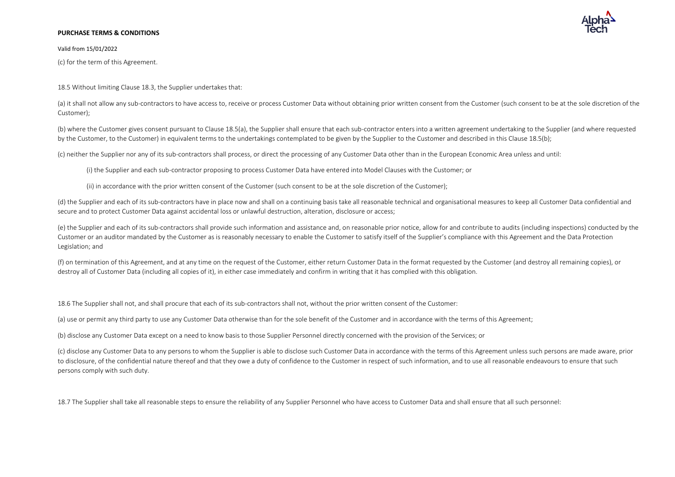Valid from 15/01/2022

(c) for the term of this Agreement.

18.5 Without limiting Clause 18.3, the Supplier undertakes that:

(a) it shall not allow any sub-contractors to have access to, receive or process Customer Data without obtaining prior written consent from the Customer (such consent to be at the sole discretion of the Customer);

(b) where the Customer gives consent pursuant to Clause 18.5(a), the Supplier shall ensure that each sub-contractor enters into a written agreement undertaking to the Supplier (and where requested by the Customer, to the Customer) in equivalent terms to the undertakings contemplated to be given by the Supplier to the Customer and described in this Clause 18.5(b);

(c) neither the Supplier nor any of its sub-contractors shall process, or direct the processing of any Customer Data other than in the European Economic Area unless and until:

(i) the Supplier and each sub-contractor proposing to process Customer Data have entered into Model Clauses with the Customer; or

(ii) in accordance with the prior written consent of the Customer (such consent to be at the sole discretion of the Customer);

(d) the Supplier and each of its sub-contractors have in place now and shall on a continuing basis take all reasonable technical and organisational measures to keep all Customer Data confidential and secure and to protect Customer Data against accidental loss or unlawful destruction, alteration, disclosure or access;

(e) the Supplier and each of its sub-contractors shall provide such information and assistance and, on reasonable prior notice, allow for and contribute to audits (including inspections) conducted by the Customer or an auditor mandated by the Customer as is reasonably necessary to enable the Customer to satisfy itself of the Supplier's compliance with this Agreement and the Data Protection Legislation; and

(f) on termination of this Agreement, and at any time on the request of the Customer, either return Customer Data in the format requested by the Customer (and destroy all remaining copies), or destroy all of Customer Data (including all copies of it), in either case immediately and confirm in writing that it has complied with this obligation.

18.6 The Supplier shall not, and shall procure that each of its sub-contractors shall not, without the prior written consent of the Customer:

(a) use or permit any third party to use any Customer Data otherwise than for the sole benefit of the Customer and in accordance with the terms of this Agreement;

(b) disclose any Customer Data except on a need to know basis to those Supplier Personnel directly concerned with the provision of the Services; or

(c) disclose any Customer Data to any persons to whom the Supplier is able to disclose such Customer Data in accordance with the terms of this Agreement unless such persons are made aware, prior to disclosure, of the confidential nature thereof and that they owe a duty of confidence to the Customer in respect of such information, and to use all reasonable endeavours to ensure that such persons comply with such duty.

18.7 The Supplier shall take all reasonable steps to ensure the reliability of any Supplier Personnel who have access to Customer Data and shall ensure that all such personnel: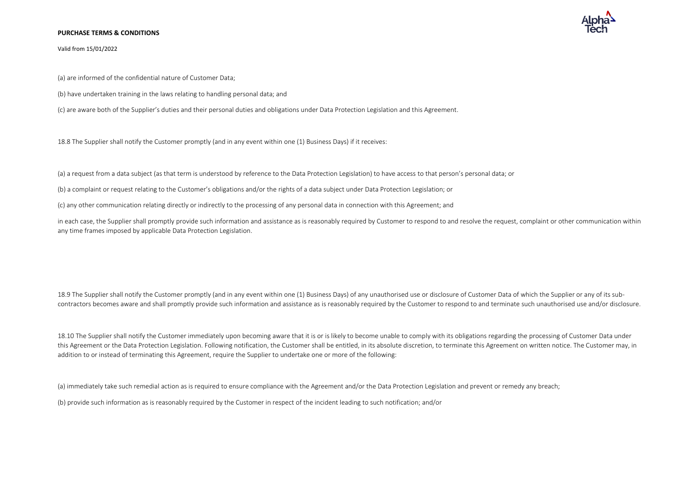

Valid from 15/01/2022

(a) are informed of the confidential nature of Customer Data;

(b) have undertaken training in the laws relating to handling personal data; and

(c) are aware both of the Supplier's duties and their personal duties and obligations under Data Protection Legislation and this Agreement.

18.8 The Supplier shall notify the Customer promptly (and in any event within one (1) Business Days) if it receives:

(a) a request from a data subject (as that term is understood by reference to the Data Protection Legislation) to have access to that person's personal data; or

(b) a complaint or request relating to the Customer's obligations and/or the rights of a data subject under Data Protection Legislation; or

(c) any other communication relating directly or indirectly to the processing of any personal data in connection with this Agreement; and

in each case, the Supplier shall promptly provide such information and assistance as is reasonably required by Customer to respond to and resolve the request, complaint or other communication within any time frames imposed by applicable Data Protection Legislation.

18.9 The Supplier shall notify the Customer promptly (and in any event within one (1) Business Days) of any unauthorised use or disclosure of Customer Data of which the Supplier or any of its subcontractors becomes aware and shall promptly provide such information and assistance as is reasonably required by the Customer to respond to and terminate such unauthorised use and/or disclosure.

18.10 The Supplier shall notify the Customer immediately upon becoming aware that it is or is likely to become unable to comply with its obligations regarding the processing of Customer Data under this Agreement or the Data Protection Legislation. Following notification, the Customer shall be entitled, in its absolute discretion, to terminate this Agreement on written notice. The Customer may, in addition to or instead of terminating this Agreement, require the Supplier to undertake one or more of the following:

(a) immediately take such remedial action as is required to ensure compliance with the Agreement and/or the Data Protection Legislation and prevent or remedy any breach;

(b) provide such information as is reasonably required by the Customer in respect of the incident leading to such notification; and/or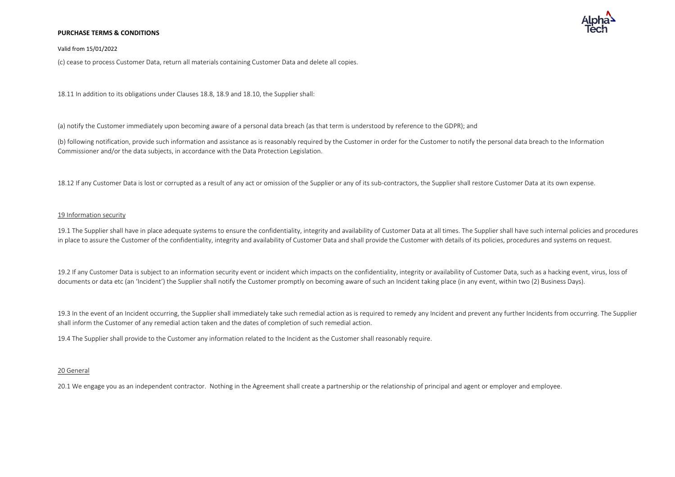

### Valid from 15/01/2022

(c) cease to process Customer Data, return all materials containing Customer Data and delete all copies.

18.11 In addition to its obligations under Clauses 18.8, 18.9 and 18.10, the Supplier shall:

(a) notify the Customer immediately upon becoming aware of a personal data breach (as that term is understood by reference to the GDPR); and

(b) following notification, provide such information and assistance as is reasonably required by the Customer in order for the Customer to notify the personal data breach to the Information Commissioner and/or the data subjects, in accordance with the Data Protection Legislation.

18.12 If any Customer Data is lost or corrupted as a result of any act or omission of the Supplier or any of its sub-contractors, the Supplier shall restore Customer Data at its own expense.

### 19 Information security

19.1 The Supplier shall have in place adequate systems to ensure the confidentiality, integrity and availability of Customer Data at all times. The Supplier shall have such internal policies and procedures in place to assure the Customer of the confidentiality, integrity and availability of Customer Data and shall provide the Customer with details of its policies, procedures and systems on request.

19.2 If any Customer Data is subject to an information security event or incident which impacts on the confidentiality, integrity or availability of Customer Data, such as a hacking event, virus, loss of documents or data etc (an 'Incident') the Supplier shall notify the Customer promptly on becoming aware of such an Incident taking place (in any event, within two (2) Business Days).

19.3 In the event of an Incident occurring, the Supplier shall immediately take such remedial action as is required to remedy any Incident and prevent any further Incidents from occurring. The Supplier shall inform the Customer of any remedial action taken and the dates of completion of such remedial action.

19.4 The Supplier shall provide to the Customer any information related to the Incident as the Customer shall reasonably require.

### 20 General

20.1 We engage you as an independent contractor. Nothing in the Agreement shall create a partnership or the relationship of principal and agent or employer and employee.